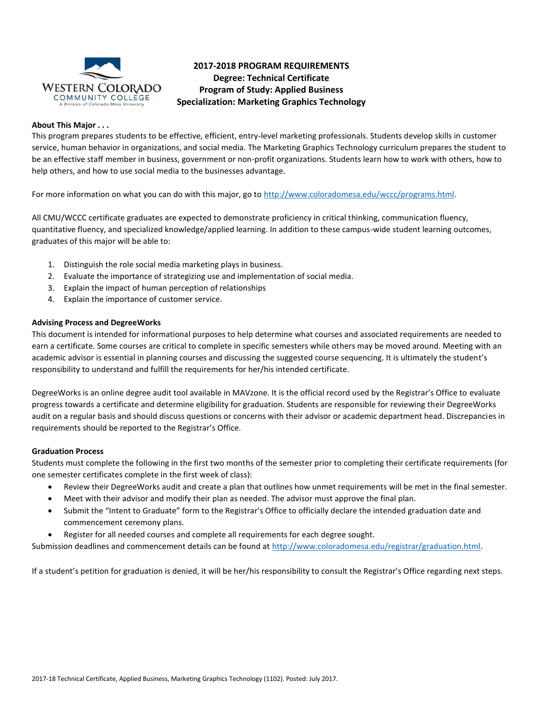

# **2017-2018 PROGRAM REQUIREMENTS Degree: Technical Certificate Program of Study: Applied Business Specialization: Marketing Graphics Technology**

### **About This Major . . .**

This program prepares students to be effective, efficient, entry-level marketing professionals. Students develop skills in customer service, human behavior in organizations, and social media. The Marketing Graphics Technology curriculum prepares the student to be an effective staff member in business, government or non-profit organizations. Students learn how to work with others, how to help others, and how to use social media to the businesses advantage.

For more information on what you can do with this major, go to [http://www.coloradomesa.edu/wccc/programs.html.](http://www.coloradomesa.edu/wccc/programs.html)

All CMU/WCCC certificate graduates are expected to demonstrate proficiency in critical thinking, communication fluency, quantitative fluency, and specialized knowledge/applied learning. In addition to these campus-wide student learning outcomes, graduates of this major will be able to:

- 1. Distinguish the role social media marketing plays in business.
- 2. Evaluate the importance of strategizing use and implementation of social media.
- 3. Explain the impact of human perception of relationships
- 4. Explain the importance of customer service.

# **Advising Process and DegreeWorks**

This document is intended for informational purposes to help determine what courses and associated requirements are needed to earn a certificate. Some courses are critical to complete in specific semesters while others may be moved around. Meeting with an academic advisor is essential in planning courses and discussing the suggested course sequencing. It is ultimately the student's responsibility to understand and fulfill the requirements for her/his intended certificate.

DegreeWorks is an online degree audit tool available in MAVzone. It is the official record used by the Registrar's Office to evaluate progress towards a certificate and determine eligibility for graduation. Students are responsible for reviewing their DegreeWorks audit on a regular basis and should discuss questions or concerns with their advisor or academic department head. Discrepancies in requirements should be reported to the Registrar's Office.

#### **Graduation Process**

Students must complete the following in the first two months of the semester prior to completing their certificate requirements (for one semester certificates complete in the first week of class):

- Review their DegreeWorks audit and create a plan that outlines how unmet requirements will be met in the final semester.
- Meet with their advisor and modify their plan as needed. The advisor must approve the final plan.
- Submit the "Intent to Graduate" form to the Registrar's Office to officially declare the intended graduation date and commencement ceremony plans.
- Register for all needed courses and complete all requirements for each degree sought.

Submission deadlines and commencement details can be found at [http://www.coloradomesa.edu/registrar/graduation.html.](http://www.coloradomesa.edu/registrar/graduation.html)

If a student's petition for graduation is denied, it will be her/his responsibility to consult the Registrar's Office regarding next steps.